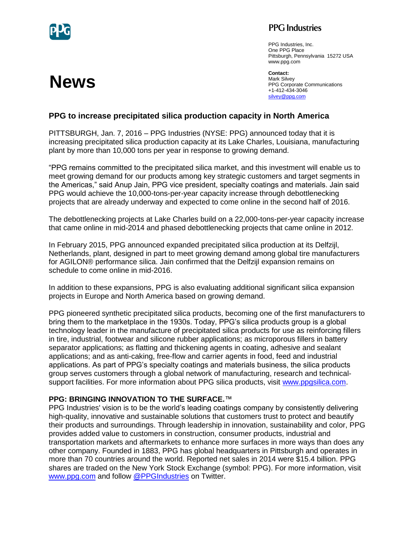

**News**

## **PPG** Industries

PPG Industries, Inc. One PPG Place Pittsburgh, Pennsylvania 15272 USA www.ppg.com

**Contact:**  Mark Silvey PPG Corporate Communications +1-412-434-3046 [silvey@ppg.com](mailto:silvey@ppg.com)

## **PPG to increase precipitated silica production capacity in North America**

PITTSBURGH, Jan. 7, 2016 – PPG Industries (NYSE: PPG) announced today that it is increasing precipitated silica production capacity at its Lake Charles, Louisiana, manufacturing plant by more than 10,000 tons per year in response to growing demand.

"PPG remains committed to the precipitated silica market, and this investment will enable us to meet growing demand for our products among key strategic customers and target segments in the Americas," said Anup Jain, PPG vice president, specialty coatings and materials. Jain said PPG would achieve the 10,000-tons-per-year capacity increase through debottlenecking projects that are already underway and expected to come online in the second half of 2016.

The debottlenecking projects at Lake Charles build on a 22,000-tons-per-year capacity increase that came online in mid-2014 and phased debottlenecking projects that came online in 2012.

In February 2015, PPG announced expanded precipitated silica production at its Delfzijl, Netherlands, plant, designed in part to meet growing demand among global tire manufacturers for AGILON® performance silica. Jain confirmed that the Delfzijl expansion remains on schedule to come online in mid-2016.

In addition to these expansions, PPG is also evaluating additional significant silica expansion projects in Europe and North America based on growing demand.

PPG pioneered synthetic precipitated silica products, becoming one of the first manufacturers to bring them to the marketplace in the 1930s. Today, PPG's silica products group is a global technology leader in the manufacture of precipitated silica products for use as reinforcing fillers in tire, industrial, footwear and silicone rubber applications; as microporous fillers in battery separator applications; as flatting and thickening agents in coating, adhesive and sealant applications; and as anti-caking, free-flow and carrier agents in food, feed and industrial applications. As part of PPG's specialty coatings and materials business, the silica products group serves customers through a global network of manufacturing, research and technicalsupport facilities. For more information about PPG silica products, visit [www.ppgsilica.com.](http://www.ppgsilica.com/)

## **PPG: BRINGING INNOVATION TO THE SURFACE.**™

PPG Industries' vision is to be the world's leading coatings company by consistently delivering high-quality, innovative and sustainable solutions that customers trust to protect and beautify their products and surroundings. Through leadership in innovation, sustainability and color, PPG provides added value to customers in construction, consumer products, industrial and transportation markets and aftermarkets to enhance more surfaces in more ways than does any other company. Founded in 1883, PPG has global headquarters in Pittsburgh and operates in more than 70 countries around the world. Reported net sales in 2014 were \$15.4 billion. PPG shares are traded on the New York Stock Exchange (symbol: PPG). For more information, visit [www.ppg.com](http://www.ppg.com/) and follow [@PPGIndustries](http://twitter.com/PPGIndustries) on Twitter.